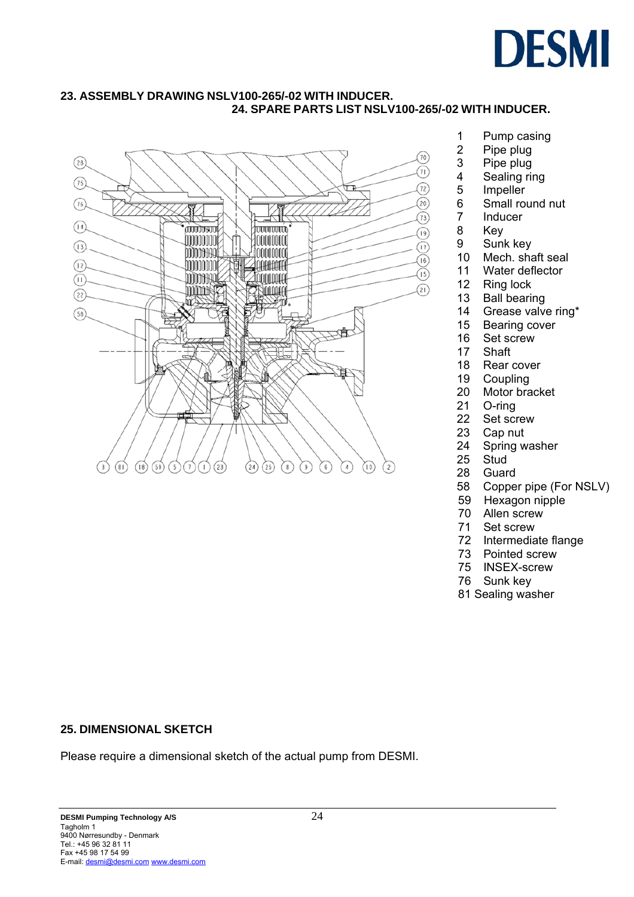# **DESMI**

## **23. ASSEMBLY DRAWING NSLV100-265/-02 WITH INDUCER. 24. SPARE PARTS LIST NSLV100-265/-02 WITH INDUCER.**



- 1 Pump casing
- 2 Pipe plug<br>3 Pipe plug
- Pipe plug
- 4 Sealing ring
- 5 Impeller
- 6 Small round nut
- 7 Inducer
- 8 Key
- 9 Sunk key
- 10 Mech. shaft seal
- 11 Water deflector
- 12 Ring lock
- 13 Ball bearing
- 14 Grease valve ring\*
- 15 Bearing cover
- 16 Set screw
- 17 Shaft
- 18 Rear cover<br>19 Coupling
- Coupling
- 20 Motor bracket
- 21 O-ring
- 22 Set screw
- 23 Cap nut
- 24 Spring washer
- 25 Stud
- 28 Guard
- 58 Copper pipe (For NSLV)
- 59 Hexagon nipple
- 70 Allen screw
- 71 Set screw
	- 72 Intermediate flange
	- 73 Pointed screw
	- 75 INSEX-screw
	- 76 Sunk key
	- 81 Sealing washer

### **25. DIMENSIONAL SKETCH**

Please require a dimensional sketch of the actual pump from DESMI.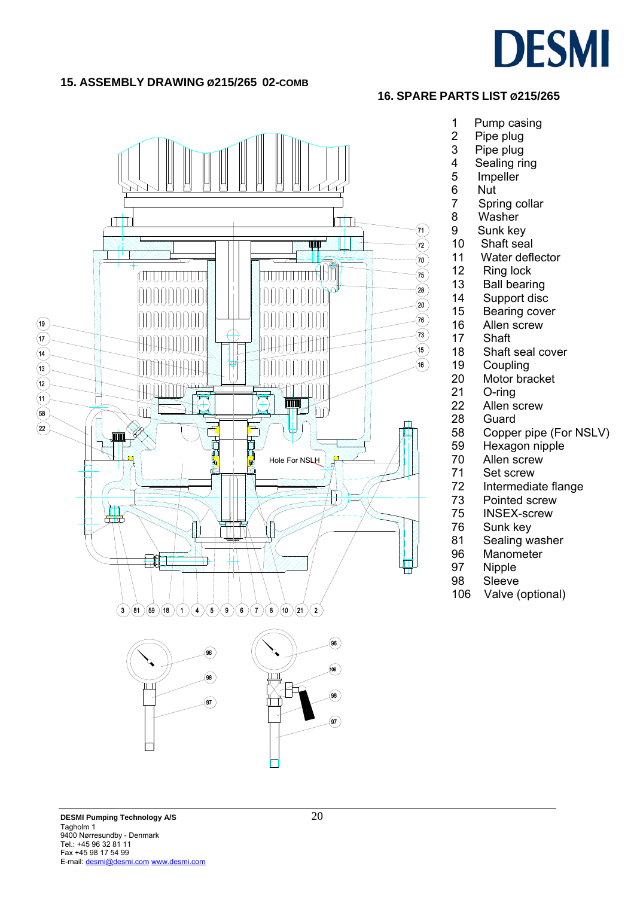

### **15. ASSEMBLY DRAWING Ø215/265 02-COMB**





- 1 Pump casing
- 2 Pipe plug<br>3 Pipe plug
- 
- 3 Pipe plug<br>4 Sealing ri 4 Sealing ring<br>5 Impeller
- **Impeller** 
	-
- 6 Nut<br>7 Spri Spring collar
- 8 Washer
- 9 Sunk key
- 10 Shaft seal
- 11 Water deflector
- 12 Ring lock
- 13 Ball bearing
- 14 Support disc
- 15 Bearing cover
- 16 Allen screw
- 17 Shaft
- 18 Shaft seal cover
- 19 Coupling<br>20 Motor bra
	- Motor bracket
- 21 O-ring
- 22 Allen screw
- 28 Guard<br>58 Coppe
	- Copper pipe (For NSLV)
- 59 Hexagon nipple
- 70 Allen screw<br>71 Set screw
- 71 Set screw<br>72 Intermedia
- Intermediate flange
- 73 Pointed screw
- 75 INSEX-screw
- 76 Sunk key
- 81 Sealing washer
- 96 Manometer<br>97 Nipple
- **Nipple**
- 98 Sleeve
- 106 Valve (optional)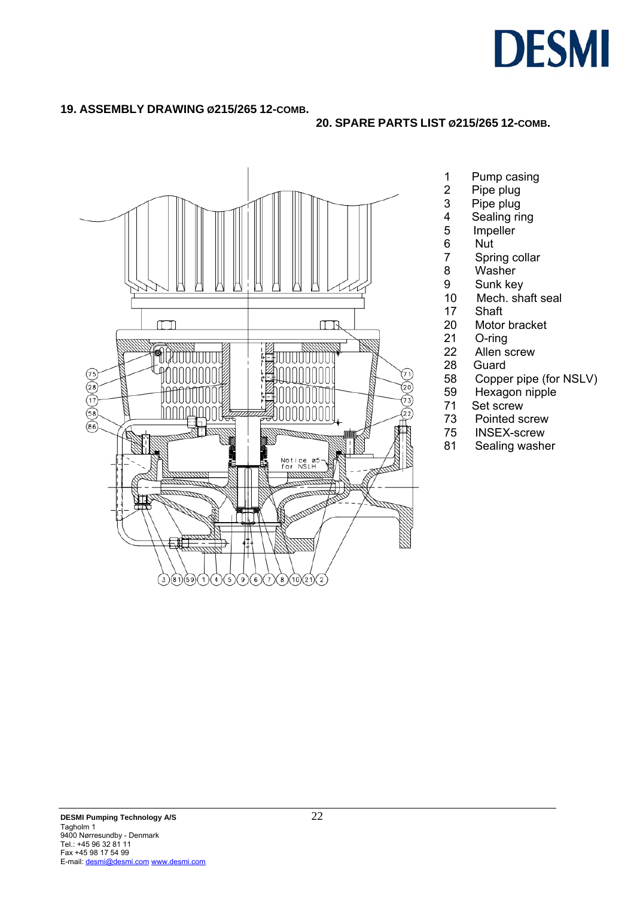

### **19. ASSEMBLY DRAWING Ø215/265 12-COMB.**

## **20. SPARE PARTS LIST Ø215/265 12-COMB.**



- 1 Pump casing
- 2 Pipe plug<br>3 Pipe plug
- 3 Pipe plug<br>4 Sealing ri
- 4 Sealing ring<br>5 Impeller
- **Impeller** 
	-
- 6 Nut<br>7 Spri 7 Spring collar<br>8 Washer
- Washer
- 9 Sunk key<br>10 Mech. sh
- Mech. shaft seal
- 17 Shaft
- 20 Motor bracket
- 21 O-ring
- 22 Allen screw
- 28 Guard<br>58 Coppe
- 58 Copper pipe (for NSLV)<br>59 Hexagon nipple
- 59 Hexagon nipple<br>71 Set screw
- Set screw
- 73 Pointed screw
- 75 INSEX-screw
- 81 Sealing washer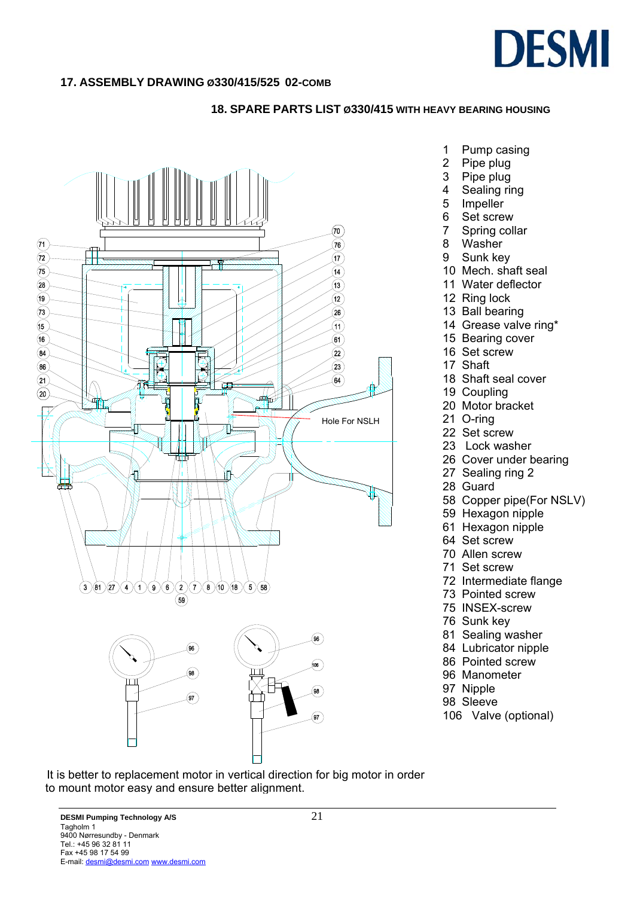

### **17. ASSEMBLY DRAWING Ø330/415/525 02-COMB**

#### **18. SPARE PARTS LIST Ø330/415 WITH HEAVY BEARING HOUSING**



- 1 Pump casing
- 2 Pipe plug
- 3 Pipe plug
- 4 Sealing ring
- 5 Impeller
- 6 Set screw
- 7 Spring collar
- 8 Washer
- 9 Sunk key
- 10 Mech. shaft seal
- 11 Water deflector
- 12 Ring lock
- 13 Ball bearing
- 14 Grease valve ring\*
- 15 Bearing cover
- 16 Set screw
- 17 Shaft
- 18 Shaft seal cover
- 19 Coupling
- 20 Motor bracket
- 21 O-ring
- 22 Set screw
- 23 Lock washer
- 26 Cover under bearing
- 27 Sealing ring 2
- 28 Guard
- 58 Copper pipe(For NSLV)
- 59 Hexagon nipple
- 61 Hexagon nipple
- 64 Set screw
- 70 Allen screw
- 71 Set screw
- 72 Intermediate flange
- 73 Pointed screw
- 75 INSEX-screw
- 76 Sunk key
- 81 Sealing washer
- 84 Lubricator nipple
- 86 Pointed screw
- 96 Manometer
- 97 Nipple
- 98 Sleeve
- 106 Valve (optional)

 It is better to replacement motor in vertical direction for big motor in order to mount motor easy and ensure better alignment.